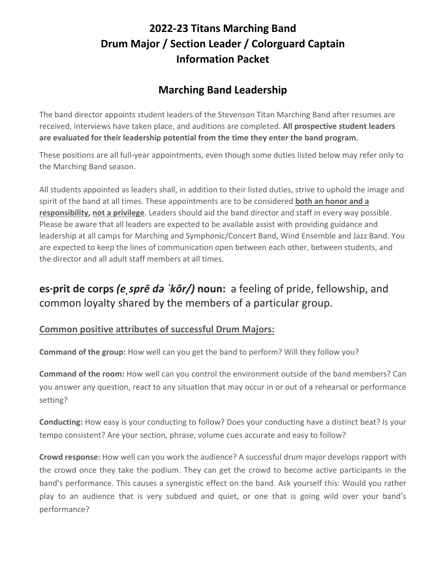# **2022-23 Titans Marching Band Drum Major / Section Leader / Colorguard Captain Information Packet**

## **Marching Band Leadership**

The band director appoints student leaders of the Stevenson Titan Marching Band after resumes are received, interviews have taken place, and auditions are completed. **All prospective student leaders are evaluated for their leadership potential from the time they enter the band program.**

These positions are all full-year appointments, even though some duties listed below may refer only to the Marching Band season.

All students appointed as leaders shall, in addition to their listed duties, strive to uphold the image and spirit of the band at all times. These appointments are to be considered **both an honor and a responsibility, not a privilege**. Leaders should aid the band director and staff in every way possible. Please be aware that all leaders are expected to be available assist with providing guidance and leadership at all camps for Marching and Symphonic/Concert Band, Wind Ensemble and Jazz Band. You are expected to keep the lines of communication open between each other, between students, and the director and all adult staff members at all times.

# **es·prit de corps** *(eˌsprē də ˈkôr/)* **noun:** a feeling of pride, fellowship, and common loyalty shared by the members of a particular group.

### **Common positive attributes of successful Drum Majors:**

**Command of the group:** How well can you get the band to perform? Will they follow you?

**Command of the room:** How well can you control the environment outside of the band members? Can you answer any question, react to any situation that may occur in or out of a rehearsal or performance setting?

**Conducting:** How easy is your conducting to follow? Does your conducting have a distinct beat? Is your tempo consistent? Are your section, phrase, volume cues accurate and easy to follow?

**Crowd response:** How well can you work the audience? A successful drum major develops rapport with the crowd once they take the podium. They can get the crowd to become active participants in the band's performance. This causes a synergistic effect on the band. Ask yourself this: Would you rather play to an audience that is very subdued and quiet, or one that is going wild over your band's performance?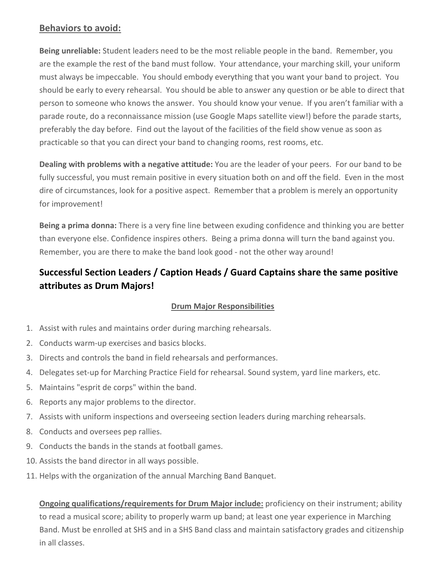#### **Behaviors to avoid:**

**Being unreliable:** Student leaders need to be the most reliable people in the band. Remember, you are the example the rest of the band must follow. Your attendance, your marching skill, your uniform must always be impeccable. You should embody everything that you want your band to project. You should be early to every rehearsal. You should be able to answer any question or be able to direct that person to someone who knows the answer. You should know your venue. If you aren't familiar with a parade route, do a reconnaissance mission (use Google Maps satellite view!) before the parade starts, preferably the day before. Find out the layout of the facilities of the field show venue as soon as practicable so that you can direct your band to changing rooms, rest rooms, etc.

**Dealing with problems with a negative attitude:** You are the leader of your peers. For our band to be fully successful, you must remain positive in every situation both on and off the field. Even in the most dire of circumstances, look for a positive aspect. Remember that a problem is merely an opportunity for improvement!

**Being a prima donna:** There is a very fine line between exuding confidence and thinking you are better than everyone else. Confidence inspires others. Being a prima donna will turn the band against you. Remember, you are there to make the band look good - not the other way around!

### **Successful Section Leaders / Caption Heads / Guard Captains share the same positive attributes as Drum Majors!**

#### **Drum Major Responsibilities**

- 1. Assist with rules and maintains order during marching rehearsals.
- 2. Conducts warm-up exercises and basics blocks.
- 3. Directs and controls the band in field rehearsals and performances.
- 4. Delegates set-up for Marching Practice Field for rehearsal. Sound system, yard line markers, etc.
- 5. Maintains "esprit de corps" within the band.
- 6. Reports any major problems to the director.
- 7. Assists with uniform inspections and overseeing section leaders during marching rehearsals.
- 8. Conducts and oversees pep rallies.
- 9. Conducts the bands in the stands at football games.
- 10. Assists the band director in all ways possible.
- 11. Helps with the organization of the annual Marching Band Banquet.

**Ongoing qualifications/requirements for Drum Major include:** proficiency on their instrument; ability to read a musical score; ability to properly warm up band; at least one year experience in Marching Band. Must be enrolled at SHS and in a SHS Band class and maintain satisfactory grades and citizenship in all classes.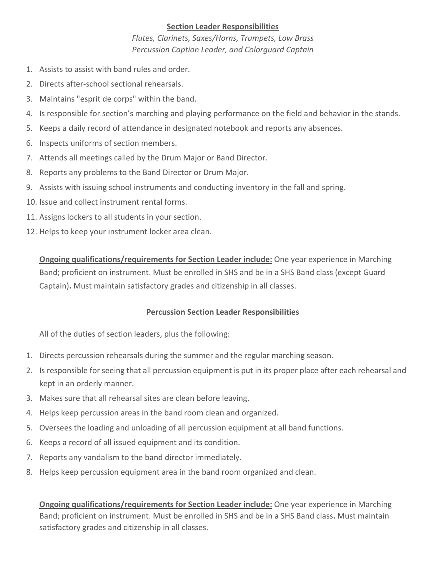#### **Section Leader Responsibilities**

*Flutes, Clarinets, Saxes/Horns, Trumpets, Low Brass Percussion Caption Leader, and Colorguard Captain*

- 1. Assists to assist with band rules and order.
- 2. Directs after-school sectional rehearsals.
- 3. Maintains "esprit de corps" within the band.
- 4. Is responsible for section's marching and playing performance on the field and behavior in the stands.
- 5. Keeps a daily record of attendance in designated notebook and reports any absences.
- 6. Inspects uniforms of section members.
- 7. Attends all meetings called by the Drum Major or Band Director.
- 8. Reports any problems to the Band Director or Drum Major.
- 9. Assists with issuing school instruments and conducting inventory in the fall and spring.
- 10. Issue and collect instrument rental forms.
- 11. Assigns lockers to all students in your section.
- 12. Helps to keep your instrument locker area clean.

**Ongoing qualifications/requirements for Section Leader include:** One year experience in Marching Band; proficient on instrument. Must be enrolled in SHS and be in a SHS Band class (except Guard Captain)**.** Must maintain satisfactory grades and citizenship in all classes.

#### **Percussion Section Leader Responsibilities**

All of the duties of section leaders, plus the following:

- 1. Directs percussion rehearsals during the summer and the regular marching season.
- 2. Is responsible for seeing that all percussion equipment is put in its proper place after each rehearsal and kept in an orderly manner.
- 3. Makes sure that all rehearsal sites are clean before leaving.
- 4. Helps keep percussion areas in the band room clean and organized.
- 5. Oversees the loading and unloading of all percussion equipment at all band functions.
- 6. Keeps a record of all issued equipment and its condition.
- 7. Reports any vandalism to the band director immediately.
- 8. Helps keep percussion equipment area in the band room organized and clean.

**Ongoing qualifications/requirements for Section Leader include:** One year experience in Marching Band; proficient on instrument. Must be enrolled in SHS and be in a SHS Band class**.** Must maintain satisfactory grades and citizenship in all classes.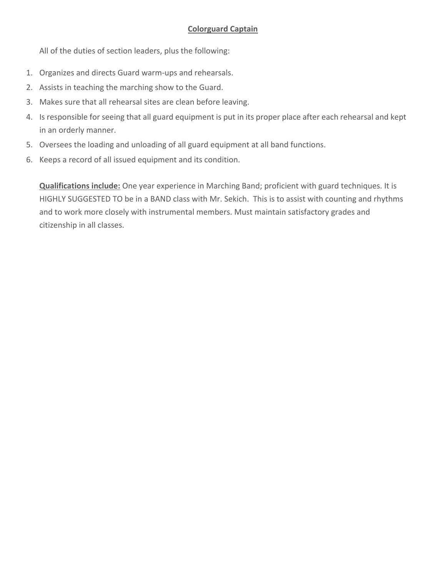#### **Colorguard Captain**

All of the duties of section leaders, plus the following:

- 1. Organizes and directs Guard warm-ups and rehearsals.
- 2. Assists in teaching the marching show to the Guard.
- 3. Makes sure that all rehearsal sites are clean before leaving.
- 4. Is responsible for seeing that all guard equipment is put in its proper place after each rehearsal and kept in an orderly manner.
- 5. Oversees the loading and unloading of all guard equipment at all band functions.
- 6. Keeps a record of all issued equipment and its condition.

**Qualifications include:** One year experience in Marching Band; proficient with guard techniques. It is HIGHLY SUGGESTED TO be in a BAND class with Mr. Sekich. This is to assist with counting and rhythms and to work more closely with instrumental members. Must maintain satisfactory grades and citizenship in all classes.